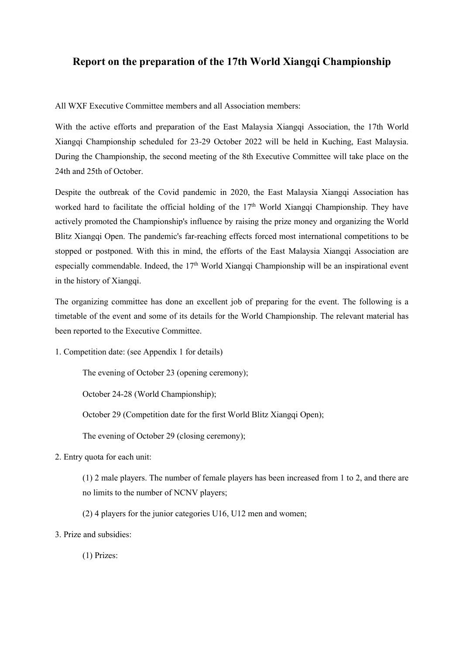#### **Report on the preparation of the 17th World Xiangqi Championship**

All WXF Executive Committee members and all Association members:

With the active efforts and preparation of the East Malaysia Xiangqi Association, the 17th World Xiangqi Championship scheduled for 23-29 October 2022 will be held in Kuching, East Malaysia. During the Championship, the second meeting of the 8th Executive Committee will take place on the 24th and 25th of October.

Despite the outbreak of the Covid pandemic in 2020, the East Malaysia Xiangqi Association has worked hard to facilitate the official holding of the 17 th World Xiangqi Championship. They have actively promoted the Championship's influence by raising the prize money and organizing the World Blitz Xiangqi Open. The pandemic's far-reaching effects forced most international competitions to be stopped or postponed. With this in mind, the efforts of the East Malaysia Xiangqi Association are especially commendable. Indeed, the 17<sup>th</sup> World Xiangqi Championship will be an inspirational event in the history of Xiangqi.<br>The organizing committee has done an excellent job of preparing for the event. The following is a

timetable of the event and some of its details for the World Championship. The relevant material has been reported to the Executive Committee.

1. Competition date: (see Appendix 1 for details)

The evening of October 23 (opening ceremony);

October 24-28 (World Championship);

October 29 (Competition date for the first World Blitz Xiangqi Open);

The evening of October 29 (closing ceremony);

2. Entry quota for each unit:

(1) 2 male players. The number of female players has been increased from 1 to 2, and there are no limits to the number of NCNV players;

- (2) 4 players for the junior categories U16, U12 men and women;
- 3. Prize and subsidies:

(1) Prizes: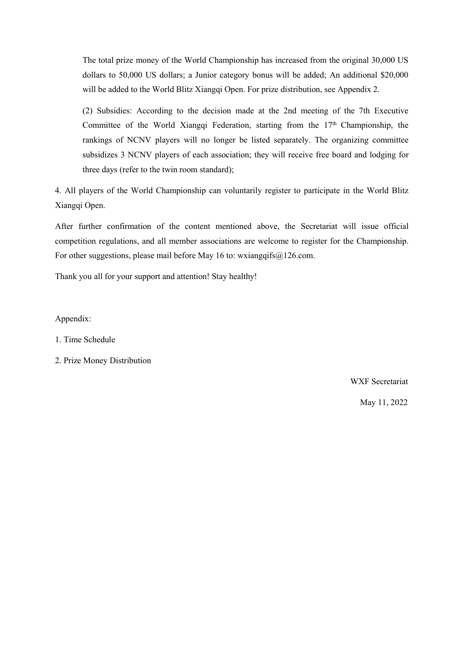The total prize money of the World Championship has increased from the original 30,000 US dollars to 50,000 US dollars; a Junior category bonus will be added; An additional \$20,000 will be added to the World Blitz Xiangqi Open. For prize distribution, see Appendix 2.

(2) Subsidies: According to the decision made at the 2nd meeting of the 7th Executive Committee of the World Xiangqi Federation, starting from the 17<sup>th</sup> Championship, the rankings of NCNV players will no longer be listed separately. The organizing committee subsidizes 3 NCNV players of each association; they will receive free board and lodging for three days (refer to the twin room standard);

4. All players of the World Championship can voluntarily register to participate in the World Blitz Xiangqi Open.

After further confirmation of the content mentioned above, the Secretariat will issue official competition regulations, and all member associations are welcome to register for the Championship. For other suggestions, please mail before May 16 to: wxiangqifs $@126$ .com.

Thank you all for your support and attention! Stay healthy!

Appendix:

1. Time Schedule

2. Prize Money Distribution

WXF Secretariat

May 11, 2022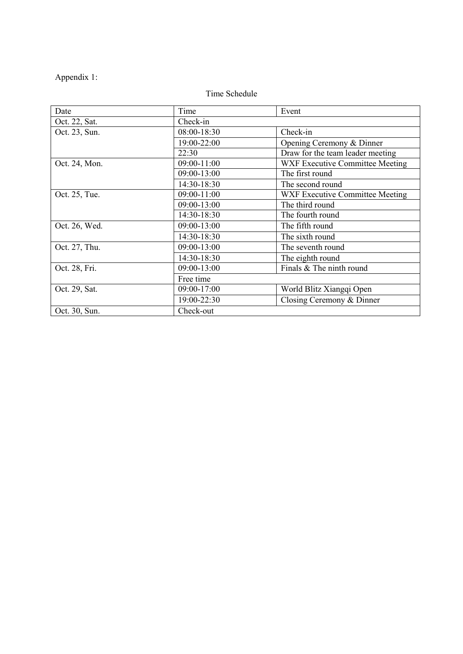# Appendix 1:

# Time Schedule

| Date          | Time        | Event                                  |  |  |  |
|---------------|-------------|----------------------------------------|--|--|--|
| Oct. 22, Sat. | Check-in    |                                        |  |  |  |
| Oct. 23, Sun. | 08:00-18:30 | Check-in                               |  |  |  |
|               | 19:00-22:00 | Opening Ceremony & Dinner              |  |  |  |
|               | 22:30       | Draw for the team leader meeting       |  |  |  |
| Oct. 24, Mon. | 09:00-11:00 | <b>WXF Executive Committee Meeting</b> |  |  |  |
|               | 09:00-13:00 | The first round                        |  |  |  |
|               | 14:30-18:30 | The second round                       |  |  |  |
| Oct. 25, Tue. | 09:00-11:00 | WXF Executive Committee Meeting        |  |  |  |
|               | 09:00-13:00 | The third round                        |  |  |  |
|               | 14:30-18:30 | The fourth round                       |  |  |  |
| Oct. 26, Wed. | 09:00-13:00 | The fifth round                        |  |  |  |
|               | 14:30-18:30 | The sixth round                        |  |  |  |
| Oct. 27, Thu. | 09:00-13:00 | The seventh round                      |  |  |  |
|               | 14:30-18:30 | The eighth round                       |  |  |  |
| Oct. 28, Fri. | 09:00-13:00 | Finals & The ninth round               |  |  |  |
|               | Free time   |                                        |  |  |  |
| Oct. 29, Sat. | 09:00-17:00 | World Blitz Xiangqi Open               |  |  |  |
|               | 19:00-22:30 | Closing Ceremony & Dinner              |  |  |  |
| Oct. 30, Sun. | Check-out   |                                        |  |  |  |